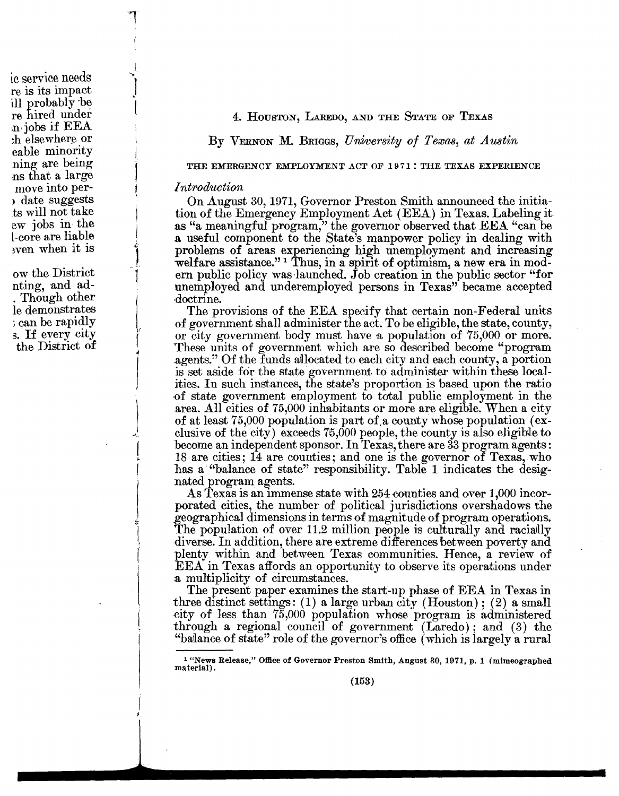4. HOUSTON, LAREDO, AND THE STATE OF TEXAS

By VERNON M. BRIGGS, University of Texas, at Austin

THE EMERGENCY EMPLOYMENT ACT OF 1971; THE TEXAS EXPERIENCE

### Introduction

On August 30, 1971, Governor Preston Smith announced the initiation of the Emergency Employment Act (EEA) in Texas. Labeling it as "a meaningful program," the governor observed that EEA "can be a useful component to the State's manpower policy in dealing with problems of areas experiencing high unemployment and increasing welfare assistance."<sup>1</sup> Thus, in a spirit of optimism, a new era in modern public policy was launched. Job creation in the public sector "for unemployed and underemployed persons in Texas" became accepted doctrine.

The provisions of the EEA specify that certain non-Federal units of government shall administer the act. To be eligible, the state, county, or city government body must have a population of 75,000 or more. These units of government which are so described become "program" agents." Of the funds allocated to each city and each county, a portion is set aside for the state government to administer within these localities. In such instances, the state's proportion is based upon the ratio of state government employment to total public employment in the area. All cities of 75,000 inhabitants or more are eligible. When a city of at least  $75,000$  population is part of a county whose population (exclusive of the city) exceeds  $75,000$  people, the county is also eligible to become an independent sponsor. In Texas, there are 33 program agents: 18 are cities; 14 are counties; and one is the governor of Texas, who has a "balance of state" responsibility. Table 1 indicates the designated program agents.

As Texas is an immense state with 254 counties and over 1,000 incorporated cities, the number of political jurisdictions overshadows the geographical dimensions in terms of magnitude of program operations. The population of over 11.2 million people is culturally and racially diverse. In addition, there are extreme differences between poverty and plenty within and between Texas communities. Hence, a review of **EEA** in Texas affords an opportunity to observe its operations under a multiplicity of circumstances.

The present paper examines the start-up phase of EEA in Texas in three distinct settings: (1) a large urban city (Houston); (2) a small city of less than  $75{,}000$  population whose program is administered through a regional council of government (Laredo); and (3) the "balance of state" role of the governor's office (which is largely a rural

ic service needs re is its impact ill probably be re hired under myjobs if EEA h elsewhere or eable minority ning are being ns that a large move into perdate suggests ts will not take ew jobs in the -core are liable wen when it is

ow the District nting, and ad-Though other le demonstrates : can be rapidly s. If every city the District of

<sup>&</sup>lt;sup>1</sup> "News Release," Office of Governor Preston Smith, August 30, 1971, p. 1 (mimeographed material).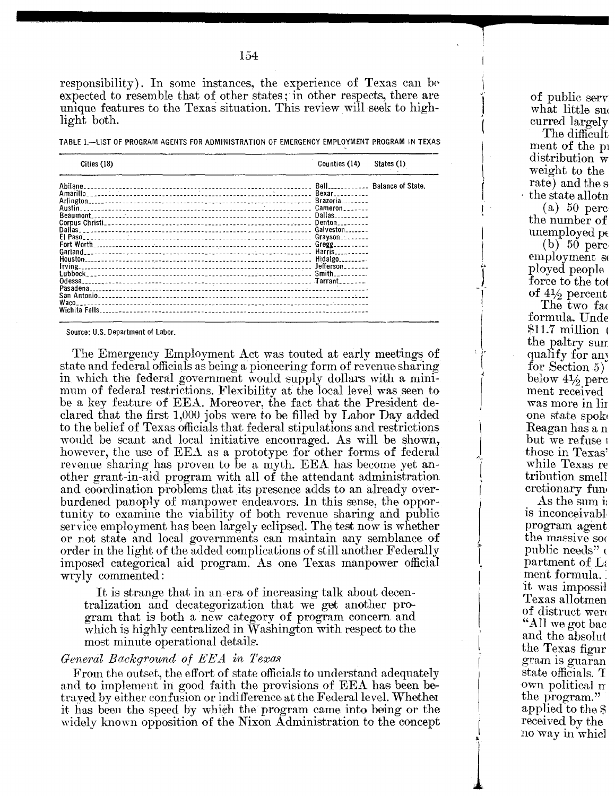responsibility). In some instances, the experience of Texas can be expected to resemble that of other states; in other respects, there are unique features to the Texas situation. This review will seek to highlight both.

|  | TABLE 1.-LIST OF PROGRAM AGENTS FOR ADMINISTRATION OF EMERGENCY EMPLOYMENT PROGRAM IN TEXAS |  |  |
|--|---------------------------------------------------------------------------------------------|--|--|

| Cities (18)   | Counties (14)                    | States (1)               |
|---------------|----------------------------------|--------------------------|
|               |                                  | <b>Balance of State.</b> |
|               | $Bexar_{\dots}$                  |                          |
|               | $Brazoria$ <sub>-------</sub>    |                          |
| Austin        | Cameron                          |                          |
| Beaumont.     | Dallas $\overline{\phantom{a}1}$ |                          |
|               | Denton.                          |                          |
| Dallas        | Galveston                        |                          |
| El Paso       | Grayson                          |                          |
|               |                                  |                          |
| Garland       | Harris                           |                          |
| Houston       |                                  |                          |
| Irving        |                                  |                          |
|               | $Smith$ $\ldots$                 |                          |
| Odessa        |                                  |                          |
| Pasadena      |                                  |                          |
|               |                                  |                          |
| Waco          |                                  |                          |
| Wichita Falls |                                  |                          |

Source: U.S.Department of Labor.

**--**

The Emergency Employment Act was touted at early meetings of state and federal officials as being a pioneering farm *af* revenue sharing in which the federal government would supply dollars with a minimum *af* federal restrictians. Flexibility at the local level was seen *to'* be a key feature of EEA. Moreover, the fact that the President deelared that the first 1,000 jabs were *to'* be filled by Labar Day added *ta* the belief *af* Texas afficials that federal stipulatians and restrictians would be scant and local initiative encouraged. As will be shown, however, the use of EEA as a prototype for other forms of federal revenue sharing has proven to be a myth. EEA has become yet another grant-in-aid program with all of the attendant administration. and coordination problems that its presence adds to an already overburdened panoply of manpower endeavors. In this sense, the opportunity to examine the viability of both revenue sharing and public service employment has been largely eclipsed. The test now is whether ar nat state and lacal gavernments can maintain any semblance *af* order in the light of the added complications of still another Federally impased categarical aid pragram. As one Texas manpawer afficial wryly commented:

It is strange that in an era of increasing talk about decentralization and decategarization that we get anather pragram that is bath a' new categary *af* pragram cancern and which is highly centralized in Washington with respect to the most minute operational details.

# *General Bad-cgrml.nd of EEA in Texas*

From the outset, the effort of state officials to understand adequately and to implement in good faith the provisions of EEA has been betrayed by either confusion or indifference at the Federal level. Whether it has been the speed by which the program came into being or the widely known opposition of the Nixon Administration to the concept

of public serv what little su< curred largely The difficult ment of the p distribution w weight to the rate) and the s the state allotn (a) 50 perc the number *af* unemployed pe

**--t**

I ".

J (

1

,

I  $\vert$ 

 $\int$  $\tilde{1}$ 

> $\int$  $\tilde{t}$

I

 $\leqslant$  $\frac{1}{2}$ . I

J i

 $\mathbf{I}$ 

~

 $\blacktriangle$ 

(b) 50 perc employment so played people force to the tot of  $4\frac{1}{2}$  percent

The two fac formula. Unde  $$11.7$  million  $\sqrt{ }$ the paltry sum qualify for any  $for$  Section  $5)$ below  $4\frac{1}{2}$  perc ment reeeived was more in lin one state spok Reagan has a n but we refuse 1 those in Texas' while Texas re tributian smell cretianary fun'

As the sum i: is inconceivable program agent the massive soc public needs" ( partment of La ment formula. it was impassil Texas allotmen of distruct were "All we *gat* bac and the absolut the Texas figur gram IS guaran state officials. T own political n the program." applied to the \$ received by the no way in which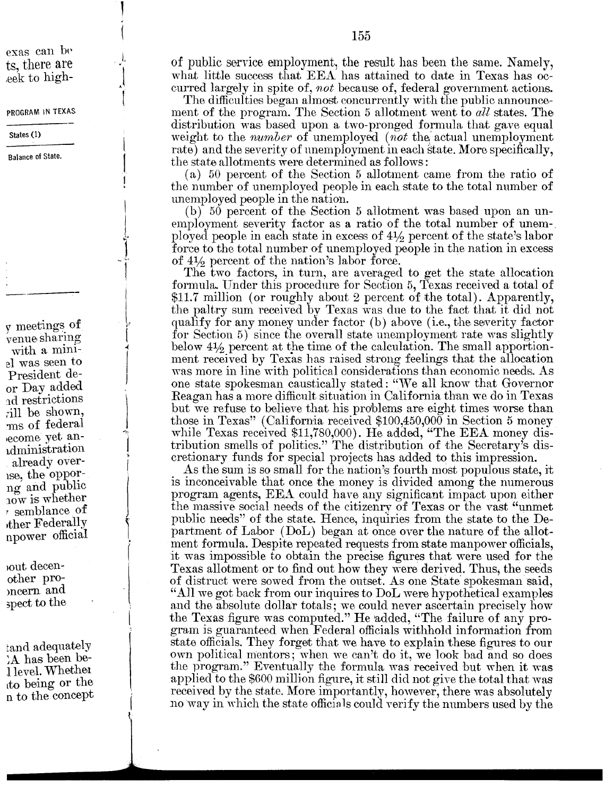exas can be ts, there are eek to high-

PROGRAM IN TEXAS

States (1)

**Balance of State.** 

 $\gamma$  meetings of venue sharing with a miniel was seen to President deor Dav added ad restrictions rill be shown,  $\,\mathrm{ms}$  of federal ecome yet anidministration already overise, the opporng and public now is whether  $\sigma$  semblance of ther Federally npower official

out decenother promeern and spect to the

tand adequately A has been bel level. Whether to being or the n to the concept of public service employment, the result has been the same. Namely, what little success that EEA has attained to date in Texas has occurred largely in spite of, not because of, federal government actions.

The difficulties began almost concurrently with the public announcement of the program. The Section 5 allotment went to all states. The distribution was based upon a two-pronged formula that gave equal weight to the *number* of unemployed (not the actual unemployment rate) and the severity of unemployment in each state. More specifically, the state allotments were determined as follows:

(a) 50 percent of the Section 5 allotment came from the ratio of the number of unemployed people in each state to the total number of unemployed people in the nation.

(b) 50 percent of the Section 5 allotment was based upon an unemployment severity factor as a ratio of the total number of unemployed people in each state in excess of 41/2 percent of the state's labor force to the total number of unemployed people in the nation in excess of  $4\frac{1}{2}$  percent of the nation's labor force.

The two factors, in turn, are averaged to get the state allocation formula. Under this procedure for Section 5, Texas received a total of \$11.7 million (or roughly about 2 percent of the total). Apparently, the paltry sum received by Texas was due to the fact that it did not qualify for any money under factor (b) above (i.e., the severity factor for Section 5) since the overall state unemployment rate was slightly below  $4\frac{1}{2}$  percent at the time of the calculation. The small apportionment received by Texas has raised strong feelings that the allocation was more in line with political considerations than economic needs. As one state spokesman caustically stated: "We all know that Governor Reagan has a more difficult situation in California than we do in Texas but we refuse to believe that his problems are eight times worse than those in Texas" (California received  $$100,450,000$  in Section 5 money while Texas received \$11,780,000). He added, "The EEA money distribution smells of politics." The distribution of the Secretary's discretionary funds for special projects has added to this impression.

As the sum is so small for the nation's fourth most populous state, it is inconceivable that once the money is divided among the numerous program agents, EEA could have any significant impact upon either the massive social needs of the citizenry of Texas or the vast "unmet" public needs" of the state. Hence, inquiries from the state to the Department of Labor (DoL) began at once over the nature of the allotment formula. Despite repeated requests from state manpower officials, it was impossible to obtain the precise figures that were used for the Texas allotment or to find out how they were derived. Thus, the seeds of distruct were sowed from the outset. As one State spokesman said, "All we got back from our inquires to DoL were hypothetical examples and the absolute dollar totals; we could never ascertain precisely how the Texas figure was computed." He added, "The failure of any program is guaranteed when Federal officials withhold information from state officials. They forget that we have to explain these figures to our own political mentors; when we can't do it, we look bad and so does the program." Eventually the formula was received but when it was applied to the \$600 million figure, it still did not give the total that was received by the state. More importantly, however, there was absolutely no way in which the state officials could verify the numbers used by the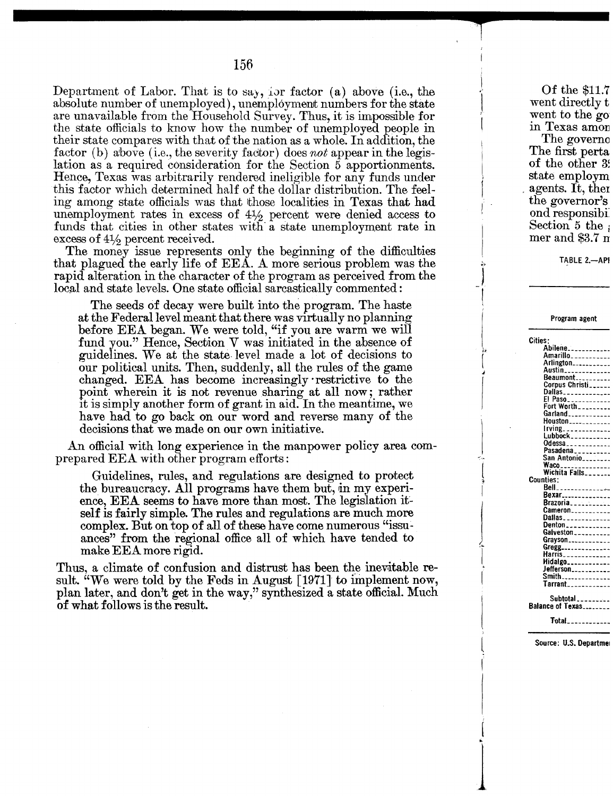**-**

Department of Labor. That is to say, ior factor (a) above (i.e., the absolute number of unemployed), unemployment numbers for the state are unavailable from the Household Survey. Thus, it is impossible for the state officials to know how the number of unemployed people in their state compares with that of the nation as a whole. In addition, the factor (b) above (i.e., the severity factor) does *not* appear in the legislation as a required consideration for the Section 5 apportionments. Hence, Texas was arbitrarily rendered ineligible for any funds under this factor which determined half of the dollar distribution. The feeling among state officials was that those localities in Texas that had unemployment rates in excess of  $4\frac{1}{2}$  percent were denied access to funds that cities in other states with a state unemployment rate in excess of  $4\frac{1}{2}$  percent received.

The money issue represents only the beginning of the difficulties that plagued the early life of EEA. A more serious problem was the rapid alteration in the character of the program as perceived from the local and state levels. One state official sarcastically commented:

The seeds of decay were built into the program. The haste at the Federal level meant that there was virtually no planning before EEA began. We were told, "if you are warm we will fund you." Hence, Section V was initiated in the absence of guidelines. We at the state, level made a lot of decisions to our political units. Then, suddenly, all the rules of the game changed. EEA has become increasingly' restrictive to the point wherein it is not revenue sharing at all now; rather it is simply another form of grant in aid. In the meantime, we have had to go back on our word and reverse many of the decisions that we made on our own initiative.

An official with long experience in the manpower policy area comprepared EEA with other program efforts :

Guidelines, rules, and regulations are designed to protect the bureaucracy. All programs have them but, in my experience, EEA seems to have more than most. The legislation itself is fairly simple. The rules and regulations are much more complex. But on top of all of these have come numerous "issu:. ances" from the regional office all of which have tended to make EEA more rigid.

Thus, a climate of confusion and distrust has been the inevitable result. "We were told by the Feds in August [1971] to implement now, plan later, and don't get in the way," synthesized a state official. Much of what follows is the result.

Of the \$11.7 went directly t went to the go in Texas amon The governo

**--t-**

 $\mathbf{I}$ " J (

..~ J -,

I

! Jlt- ( *J*

I J  $\left($ 

J.

I

i

 $\boldsymbol{\mu}$ 

The first perta of the other 3. state employm agents. It, then the governor's ond responsibi Section  $5$  the mer and \$3.7 n

TABLE 2.-API

| Program agent                    |
|----------------------------------|
| Cities:                          |
| Abilene                          |
| Amarillo__________               |
| Arlington___________             |
| Austin_______ <b>__</b> ___      |
| Beaumont                         |
| Corpus Christi <sub>corpe</sub>  |
| Dallas_____________              |
| El Paso                          |
| Fort Worth________               |
| Garland                          |
| Houston___________               |
| rving_____________               |
| Lubbock __________               |
| Odessa____________               |
| Pasadena <sub>---------</sub>    |
| San Antonio_______               |
|                                  |
| Wichita Falls_______             |
| <b>Counties:</b>                 |
| Bell<br>--------------           |
| <b>Bexar______________</b>       |
| Brazoria <sub>-----</sub> ------ |
| $Cameron$ <sub>-----------</sub> |
| Dallas____________               |
| Denton____________               |
| Galveston__________              |
| Grayson                          |
| Gregg______________              |
| Harris____________               |
| Hidalgo___________               |
| Jefferson <sub>----------</sub>  |
| Smith <sub>--------------</sub>  |
| Tarrant___________               |
| Subtotal<br>Balance of Texas     |
| <b>Total___________</b>          |

Source: U.S. Departmel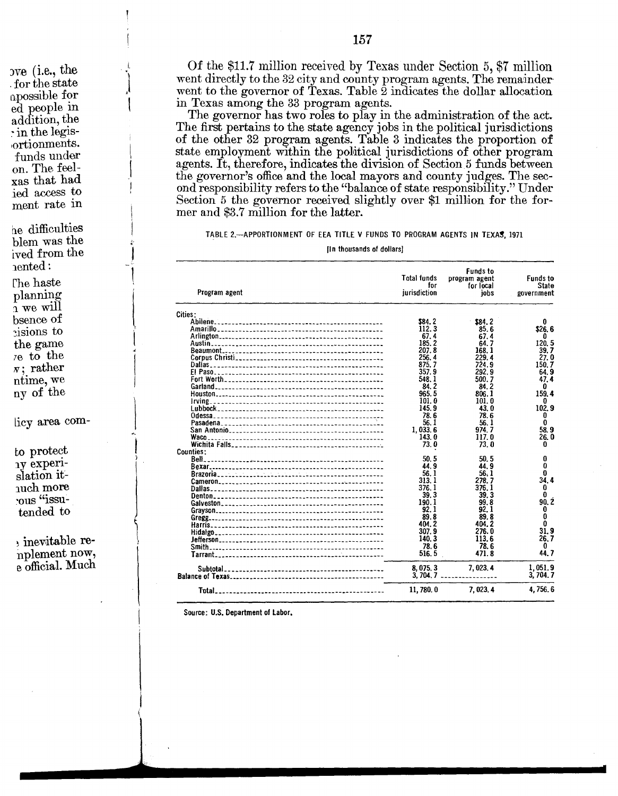ove (i.e., the for the state apossible for ed people in addition, the · in the legisortionments. funds under on. The feelxas that had jed access to ment rate in

he difficulties blem was the ived from the nented:

The haste planning  $\frac{1}{2}$  we will bsence of cisions to the game  $7e$  to the  $\pi$ ; rather ntime, we ny of the

licy area com-

to protect 1v experislation itnuch more rous "issutended to

, inevitable renplement now, e official. Much

Of the \$11.7 million received by Texas under Section 5, \$7 million went directly to the 32 city and county program agents. The remainder went to the governor of Texas. Table 2 indicates the dollar allocation in Texas among the 33 program agents.

The governor has two roles to play in the administration of the act. The first pertains to the state agency jobs in the political jurisdictions of the other 32 program agents. Table 3 indicates the proportion of state employment within the political jurisdictions of other program agents. It, therefore, indicates the division of Section 5 funds between the governor's office and the local mayors and county judges. The second responsibility refers to the "balance of state responsibility." Under Section 5 the governor received slightly over \$1 million for the former and \$3.7 million for the latter.

TABLE 2.-- APPORTIONMENT OF EEA TITLE V FUNDS TO PROGRAM AGENTS IN TEXAS. 1971

[In thousands of dollars]

| Program agent                                  | <b>Total funds</b><br>for<br>jurisdiction | <b>Funds to</b><br>program agent<br>for local<br>iobs | <b>Funds to</b><br><b>State</b><br>government |
|------------------------------------------------|-------------------------------------------|-------------------------------------------------------|-----------------------------------------------|
| Cities:                                        |                                           |                                                       |                                               |
|                                                | <b>\$84.2</b>                             | \$84.2                                                | 0                                             |
| Amarillo                                       | 112.3                                     | 85.6                                                  | \$26.6                                        |
|                                                | 67.4                                      | 67.4                                                  | 0                                             |
| Austin…<br>----------------------------------- | 185.2                                     | 64.7                                                  | 120.5                                         |
|                                                | 207.8                                     | 168.1                                                 | 39.7                                          |
| Corpus Christi <sub>n</sub>                    | 256.4                                     | 229.4                                                 | 27.0                                          |
|                                                | 875.7                                     | 724.9                                                 | 150.7                                         |
| E! Paso                                        | 357.9                                     | 292.9                                                 | 64.9                                          |
|                                                | 548.1                                     | 500.7                                                 | 47.4                                          |
|                                                |                                           |                                                       |                                               |
|                                                | 84.2                                      | 84.2                                                  | 0                                             |
|                                                | 965.5                                     | 806.1                                                 | 159.4                                         |
|                                                | 101.0                                     | 101.0                                                 | 0                                             |
|                                                | 145.9                                     | 43.0                                                  | 102.9                                         |
|                                                | 78.6                                      | 78.6                                                  | 0                                             |
|                                                | 56.1                                      | 56.1                                                  | $\mathbf{0}$                                  |
| San Antonio                                    | 1.033.6                                   | 974.7                                                 | 58.9                                          |
| Waco                                           | 143.0                                     | 117.0                                                 | 26.0                                          |
|                                                | 73.0                                      | 73.0                                                  | 0                                             |
| Counties:                                      |                                           |                                                       |                                               |
|                                                | 50.5                                      | 50.5                                                  | $\bf{0}$                                      |
|                                                | 44.9                                      | 44.9                                                  | 0                                             |
| Brazoria                                       | 56.1                                      | 56.1                                                  | 0                                             |
|                                                | 313.1                                     | 278.7                                                 | 34.4                                          |
|                                                | 376. I                                    | 376.1                                                 | 0                                             |
|                                                | 39.3                                      | 39.3                                                  | O                                             |
|                                                | 190.1                                     | 99.8                                                  | 90.2                                          |
|                                                | 92.1                                      | 92.1                                                  | 0                                             |
|                                                | 89.8                                      | 89.8                                                  | 0                                             |
|                                                | 404.2                                     | 404.2                                                 | 0                                             |
|                                                |                                           |                                                       |                                               |
|                                                | 307.9                                     | 276.0                                                 | 31.9                                          |
|                                                | 140.3                                     | 113.6                                                 | 26.7                                          |
|                                                | 78.6                                      | 78.6                                                  | 0                                             |
|                                                | 516.5                                     | 471.8                                                 | 44.7                                          |
| Subtotal_                                      | 8,075.3                                   | 7.023.4                                               | 1,051.9                                       |
|                                                | 3,704,7                                   |                                                       | 3,704.7                                       |
|                                                |                                           |                                                       |                                               |
| Total_                                         | 11,780.0                                  | 7,023,4                                               | 4,756.6                                       |

Source: U.S. Department of Labor.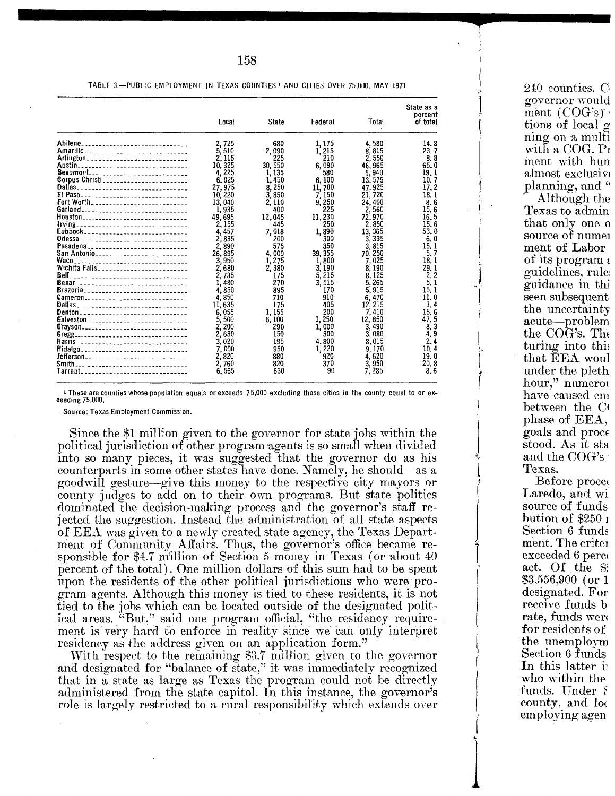|                                             | Local     | State   | Federal | Total   | State as a<br>percent<br>of total |
|---------------------------------------------|-----------|---------|---------|---------|-----------------------------------|
| Abilene________________________________     | 2.725     | 680     | 1, 175  | 4,580   | 14.8                              |
|                                             | 5.510     | 2.090   | 1.215   | 8.815   | 23.7                              |
| Arlington_____________________________      | 2.115     | 225     | 210     | 2.550   | 8.8                               |
| Austin .<br>------------------------------- | 10,325    | 30, 550 | 6,090   | 46.965  | 65.0                              |
| Beaumont______________________________      | 4.225     | 1,135   | 580     | 5,940   | 19.1                              |
| Corpus Christi_________________________     | 6,025     | 1.450   | 6.100   | 13, 575 | 10.7                              |
|                                             | 27,975    | 8.250   | 11,700  | 47.925  | 17.2                              |
|                                             | 10,220    | 3.850   | 7.150   | 21.720  | 18.1                              |
|                                             | 13,040    | 2.110   | 9.250   | 24,400  | 8.6                               |
|                                             | 1.935     | 400     | 225     | 2.560   | 15.6                              |
| Houston________________________________     | 49.695    | 12,045  | 11,230  | 72.970  | 16.5                              |
| living_________________________________     | 2.155     | 445     | 250     | 2.850   | 15.6                              |
| Eubbock______________________________       | 4.457     | 7,018   | 1,890   | 13,365  | 53.0                              |
| Odessa________________________________      | 2.835     | 200     | 300     | 3.335   | 6. 0                              |
| Pasadena____________________________        | 2,890     | 575     | 350     | 3.815   | 15.1                              |
| San Antonio__________________________       | 26.895    | 4.000   | 39, 355 | 70.250  | 5.7                               |
| Waco<br>--------------------------------    | 3.950     | 1.275   | 1.800   | 7.025   | 18.1                              |
| Wichita Falls________________________       | 2.680     | 2,380   | 3.190   | 8.190   | 29.1                              |
| Bell<br>---------------------------------   | 2.735     | 175     | 5.215   | 8.125   | 2, 2                              |
| Bexar________________________________       | 1.480     | 270     | 3.515   | 5.265   | 5.1                               |
| Brazoria                                    | 4,850     | 895     | 170     | 5.915   | 15. 1                             |
| Cameron_____________________________        | 4.850     | 710     | 910     | 6.470   | 11.0                              |
|                                             | 11.635    | 175     | 405     | 12, 215 | 1.4                               |
|                                             | 6.055     | 1.155   | 200     | 7,410   | 15.6                              |
|                                             | 500<br>5. | 6.100   | 1.250   | 12.850  | 47.5                              |
| Galveston______________________________     | 2.200     | 290     | 1.000   | 3,490   | 8.3                               |
| Grayson_______________________________      | 2.630     | 150     | 300     | 3,080   | 4.9                               |
|                                             |           |         |         |         | 2.4                               |
| Harris__________________________________    | 3.020     | 195     | 4,800   | 8.015   |                                   |
| Hidalgo                                     | 7.000     | 950     | 1,220   | 9.170   | 10.4                              |
|                                             | 2.820     | 880     | 920     | 4,620   | 19. 0                             |
| Smith_________________________________      | 2.760     | 820     | 370     | 3.950   | 20.8                              |
| Tarrant_______________________________      | 6.565     | 630     | 90      | 7,285   | 8.6                               |

<sup>1</sup> These are counties whose population equals or exceeds 75,000 excluding those cities in the county equal to or exceeding 75,000.

Source: Texas Employment Commission.

Since the \$1 million given to the governor for state jobs within the political jurisdiction of other program agents is so small when divided into so many pieces, it was suggested that the governor do as his counterparts in some other states have done. Namely, he should—as a goodwill gesture—give this money to the respective city mayors or county judges to add on to their own programs. But state politics dominated the decision-making process and the governor's staff rejected the suggestion. Instead the administration of all state aspects of EEA was given to a newly created state agency, the Texas Department of Community Affairs. Thus, the governor's office became responsible for \$4.7 million of Section 5 money in Texas (or about 40 percent of the total). One million dollars of this sum had to be spent upon the residents of the other political jurisdictions who were program agents. Although this money is tied to these residents, it is not tied to the jobs which can be located outside of the designated political areas. "But," said one program official, "the residency requirement is very hard to enforce in reality since we can only interpret residency as the address given on an application form."

With respect to the remaining \$3.7 million given to the governor and designated for "balance of state," it was immediately recognized that in a state as large as Texas the program could not be directly administered from the state capitol. In this instance, the governor's role is largely restricted to a rural responsibility which extends over 240 counties. C. governor would ment  $(COG's)$ tions of local g ning on a multi with a COG. Pr ment with hun almost exclusive planning, and " Although the Texas to admin that only one o source of numer ment of Labor of its program  $\epsilon$ guidelines, rule guidance in thi seen subsequent the uncertainty acute-problem the COG's. The turing into this that EEA woul under the pleth hour," numerou have caused em between the Ct phase of EEA. goals and proce stood. As it sta and the COG's Texas.

Before procee Laredo, and wi source of funds bution of  $\$250_1$ Section 6 funds ment. The criter exceeded 6 perce act. Of the \$9  $$3,556,900$  (or 1 designated. For receive funds b rate, funds were for residents of the unemploym Section 6 funds In this latter in who within the funds. Under S county, and loc employing agen

TABLE 3.-PUBLIC EMPLOYMENT IN TEXAS COUNTIES I AND CITIES OVER 75,000, MAY 1971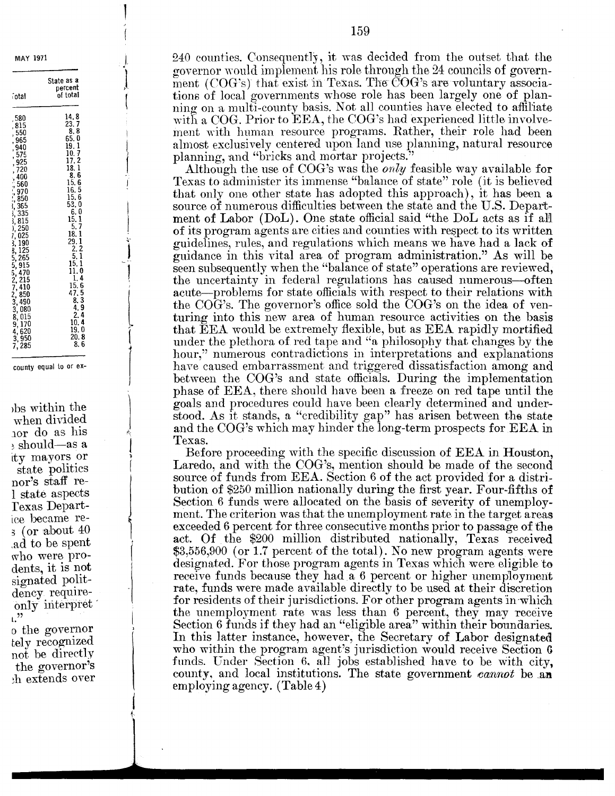**MAY 1971** 

| iotal                                                                                                                                                                                                                                                                                                                                                   | State as a<br>percent<br>of total                                                                                                                                                                                                                                                                                                                                  |
|---------------------------------------------------------------------------------------------------------------------------------------------------------------------------------------------------------------------------------------------------------------------------------------------------------------------------------------------------------|--------------------------------------------------------------------------------------------------------------------------------------------------------------------------------------------------------------------------------------------------------------------------------------------------------------------------------------------------------------------|
| 580<br>815<br>550<br>965<br>940<br>,<br>575<br>,<br>925<br>,<br>720<br>,<br>400<br>うつけ アルバー<br>560<br>970<br>850<br>365<br>335<br>$\{3, 3, 7, 3, 8, 8\}$<br>815<br>250<br>025<br>190<br>$\frac{25}{2}$<br>1<br>$3, 265$<br>$5, 915$<br>$6, 27$<br>$7, 410$<br>$850$<br>$3, 490$<br>$3, 080$<br>$8, 015$<br>$9, 170$<br>$4, 620$<br>$3, 950$<br>285<br>7 | 14.8<br>23. 7<br>8.<br>8<br>65.<br>0<br>ı<br>19.<br>10.<br>7<br>17.<br>$\frac{1}{2}$<br>18.<br>ı<br>6<br>8.<br>15. 6<br>16.5<br>15.6<br>53.<br>0<br>6.<br>0<br>15.<br>1<br>$\frac{15}{2}$ .<br>29.<br>2<br>1<br>1<br>2<br>5,<br>1<br>l<br>15.<br>0<br>1.<br>4<br>1<br>į.<br>15.6<br>47.5<br>8. 3<br>$\frac{4}{2}$<br>9<br>4<br>10.<br>19.<br>0<br>20.<br>8<br>8. 6 |

county equal to or ex-

bs within the when divided nor do as his  $\frac{1}{2}$  should—as a ity mayors or state politics nor's staff re-1 state aspects Texas Departice became re- $\frac{1}{2}$  (or about 40) ad to be spent. who were prodents, it is not signated politdency requireonly interpret  $\mathbf{L}^{22}$ 

o the governor tely recognized not be directly the governor's h extends over 240 counties. Consequently, it was decided from the outset that the governor would implement his role through the 24 councils of government (COG's) that exist in Texas. The COG's are voluntary associations of local governments whose role has been largely one of planning on a multi-county basis. Not all counties have elected to affiliate with a COG. Prior to EEA, the COG's had experienced little involvement with human resource programs. Rather, their role had been almost exclusively centered upon land use planning, natural resource planning, and "bricks and mortar projects."

Although the use of COG's was the *only* feasible way available for Texas to administer its immense "balance of state" role (it is believed that only one other state has adopted this approach), it has been a source of numerous difficulties between the state and the U.S. Department of Labor (DoL). One state official said "the DoL acts as if all of its program agents are cities and counties with respect to its written guidelines, rules, and regulations which means we have had a lack of guidance in this vital area of program administration." As will be seen subsequently when the "balance of state" operations are reviewed, the uncertainty in federal regulations has caused numerous—often acute—problems for state officials with respect to their relations with the COG's. The governor's office sold the COG's on the idea of venturing into this new area of human resource activities on the basis that EEA would be extremely flexible, but as EEA rapidly mortified under the plethora of red tape and "a philosophy that changes by the hour," numerous contradictions in interpretations and explanations have caused embarrassment and triggered dissatisfaction among and between the COG's and state officials. During the implementation phase of EEA, there should have been a freeze on red tape until the goals and procedures could have been clearly determined and understood. As it stands, a "credibility gap" has arisen between the state and the COG's which may hinder the long-term prospects for EEA in Texas.

Before proceeding with the specific discussion of EEA in Houston, Laredo, and with the COG's, mention should be made of the second source of funds from EEA. Section 6 of the act provided for a distribution of \$250 million nationally during the first year. Four-fifths of Section 6 funds were allocated on the basis of severity of unemployment. The criterion was that the unemployment rate in the target areas exceeded 6 percent for three consecutive months prior to passage of the act. Of the \$200 million distributed nationally, Texas received  $$3,556,900$  (or 1.7 percent of the total). No new program agents were designated. For those program agents in Texas which were eligible to receive funds because they had a 6 percent or higher unemployment rate, funds were made available directly to be used at their discretion for residents of their jurisdictions. For other program agents in which the unemployment rate was less than 6 percent, they may receive Section 6 funds if they had an "eligible area" within their boundaries. In this latter instance, however, the Secretary of Labor designated who within the program agent's jurisdiction would receive Section 6 funds. Under Section 6, all jobs established have to be with city, county, and local institutions. The state government cannot be an employing agency. (Table 4)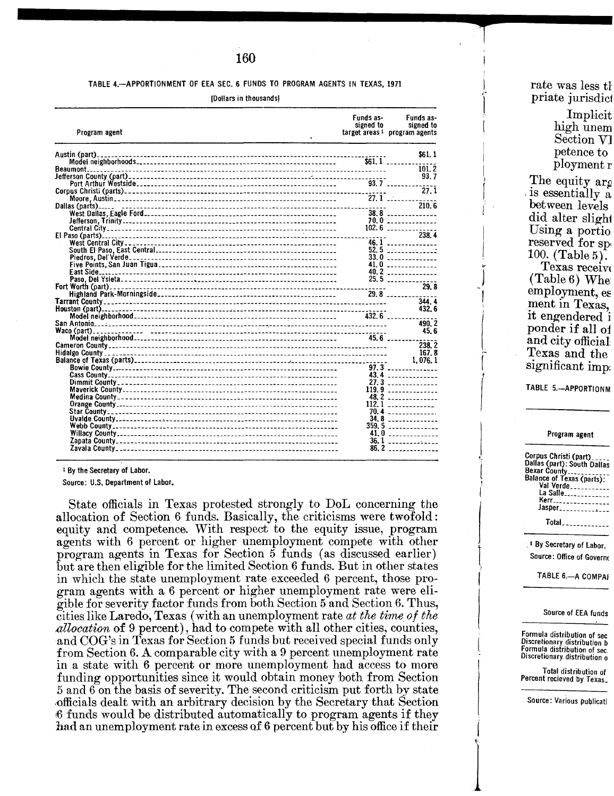## TABLE 4.-APPORTIONMENT OF EEA SEC. 6 FUNDS TO PROGRAM AGENTS IN TEXAS, 1971

[Dollars in thousands]

|                                                                      | 27.1 | \$61.1<br>$$61.1$<br>101.2<br>93.7<br>210.6<br>38.8<br>70.0<br>$102.6$<br>238.4 |
|----------------------------------------------------------------------|------|---------------------------------------------------------------------------------|
|                                                                      |      |                                                                                 |
|                                                                      |      |                                                                                 |
|                                                                      |      |                                                                                 |
|                                                                      |      |                                                                                 |
|                                                                      |      |                                                                                 |
|                                                                      |      |                                                                                 |
|                                                                      |      |                                                                                 |
|                                                                      |      |                                                                                 |
|                                                                      |      |                                                                                 |
|                                                                      |      |                                                                                 |
|                                                                      |      |                                                                                 |
|                                                                      |      | $46.1$                                                                          |
|                                                                      |      | 52.5                                                                            |
|                                                                      |      | 33.0                                                                            |
|                                                                      |      | $41.0$ $\ldots$ $\ldots$ $\ldots$                                               |
|                                                                      |      | $40.2$                                                                          |
|                                                                      |      | 25.5                                                                            |
|                                                                      |      | 29.8                                                                            |
|                                                                      |      | 29.8                                                                            |
|                                                                      |      | 344.4<br>432.6                                                                  |
|                                                                      |      |                                                                                 |
|                                                                      |      | 490.2                                                                           |
|                                                                      |      | 45.6                                                                            |
|                                                                      |      | $45.6$                                                                          |
|                                                                      |      | 238.2                                                                           |
|                                                                      |      | 167.8                                                                           |
|                                                                      |      | 1.076.1                                                                         |
| Balance of Texas (parts)<br>Balance of Texas (parts)<br>Bowie County |      |                                                                                 |
|                                                                      |      | 43.4                                                                            |
|                                                                      |      | $27.3$                                                                          |
|                                                                      |      | 119.9                                                                           |
|                                                                      |      | $48.2$                                                                          |
|                                                                      |      | $112.1$                                                                         |
|                                                                      |      |                                                                                 |
|                                                                      |      | $34.8$                                                                          |
|                                                                      |      | $359.5$                                                                         |
|                                                                      |      | $41.0$<br>$36.1$ . The set of $\sim$                                            |
|                                                                      |      | $86.2$                                                                          |

<sup>1</sup> By the Secretary of Labor.

Source: U.S. Department of Labor.

State officials in Texas protested strongly to DoL concerning the allocation of Section 6 funds. Basically, the criticisms were twofold: equity and competence. With respect to the equity issue, program agents with 6 percent or higher unemployment compete with other program agents in Texas for Section 5 funds (as discussed earlier) but are then eligible for the limited Section 6 funds. But in other states in which the state unemployment rate exceeded 6 percent, those program agents with a 6 percent or higher unemployment rate were eligible for severity factor funds from both Section 5 and Section 6. Thus. cities like Laredo, Texas (with an unemployment rate at the time of the *allocation* of 9 percent), had to compete with all other cities, counties, and COG's in Texas for Section 5 funds but received special funds only from Section 6. A comparable city with a 9 percent unemployment rate in a state with 6 percent or more unemployment had access to more funding opportunities since it would obtain money both from Section 5 and 6 on the basis of severity. The second criticism put forth by state officials dealt with an arbitrary decision by the Secretary that Section 6 funds would be distributed automatically to program agents if they had an unemployment rate in excess of 6 percent but by his office if their

rate was less the priate jurisdict

> Implicit high unem Section VI petence to ployment r

The equity arg is essentially a between levels did alter slight Using a portio reserved for sp 100. (Table 5).

Texas receive (Table 6) Whe employment, es ment in Texas. it engendered i ponder if all of and city official Texas and the significant imp.

TABLE 5.-APPORTIONM

### Program agent

| Corpus Christi (part)<br>Dallas (part): South Dallas<br>Bexar County<br>Balance of Texas (parts):<br>Val Verde __________<br>La Salle <sub>-------------</sub><br>Kerr________________<br>Jasper <sub>--------------</sub> |
|----------------------------------------------------------------------------------------------------------------------------------------------------------------------------------------------------------------------------|
| Total <sub>-22222222222</sub>                                                                                                                                                                                              |
|                                                                                                                                                                                                                            |

<sup>1</sup> By Secretary of Labor. Source: Office of Governo

TABLE 6 .- A COMPAI

#### Source of EEA funds

Formula distribution of sec. Discretionary distribution b<br>Formula distribution of sec.<br>Discretionary distribution o

Total distribution of Percent recieved by Texas.

Source: Various publicati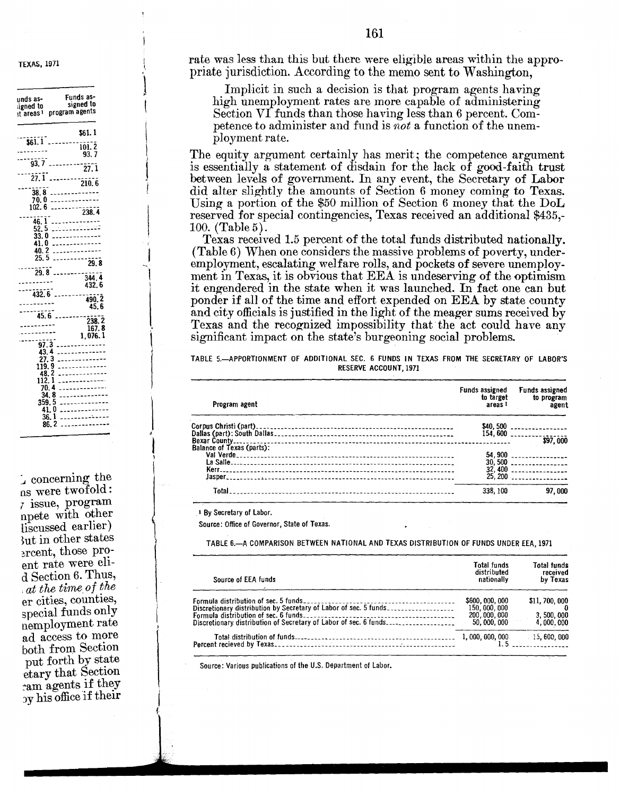**TEXAS, 1971** 

| unds as-<br>igned to                                                                   | Funds as-<br>signed to<br>t areas 1 program agents                               |
|----------------------------------------------------------------------------------------|----------------------------------------------------------------------------------|
|                                                                                        | \$61.1<br>93.7                                                                   |
| 93.7                                                                                   | $\cdots$ $\cdots$ $\frac{1}{27.1}$                                               |
| $\overline{27.1}$                                                                      | $\frac{1}{210.6}$                                                                |
| 38 8<br>70.0<br>102.6                                                                  | -----------<br>$\frac{1}{238.4}$                                                 |
| ۱<br>46.<br>5<br>52.<br>33. O<br>41.0<br>40. 2<br>5<br>25.                             | .<br>فكستشفذ والمناوي<br>-------------<br>------------<br>.<br>.<br>29.8         |
| 29.8                                                                                   | --------<br>344.4<br>432.6                                                       |
|                                                                                        | 432.6<br>490.2<br>45.6                                                           |
| 45.6<br>$-1$                                                                           | وسامات<br>238.7<br>167.8<br>1.076.1                                              |
| 97.3<br>43.4<br>3<br>119.<br>48.<br>112.<br>ı<br>. 4<br>. 8<br>5<br>359.<br>41.<br>36. | .<br>.<br>-----------<br>.<br>uuunnaanno<br>.<br>.<br>n<br>$\sim$<br>----------- |
| 86.                                                                                    | .                                                                                |

 $\sim$  concerning the as were twofold:  $\gamma$  issue, program npete with other liscussed earlier) 3ut in other states ercent, those proent rate were elid Section 6. Thus, , at the time of the er cities, counties, special funds only nemployment rate ad access to more both from Section put forth by state etary that Section cam agents if they  $\infty$  his office if their

rate was less than this but there were eligible areas within the appropriate jurisdiction. According to the memo sent to Washington,

Implicit in such a decision is that program agents having high unemployment rates are more capable of administering Section VI funds than those having less than 6 percent. Competence to administer and fund is not a function of the unemployment rate.

The equity argument certainly has merit; the competence argument is essentially a statement of disdain for the lack of good-faith trust between levels of government. In any event, the Secretary of Labor did alter slightly the amounts of Section 6 money coming to Texas. Using a portion of the \$50 million of Section 6 money that the DoL reserved for special contingencies, Texas received an additional \$435,-100. (Table  $5$ ).

Texas received 1.5 percent of the total funds distributed nationally. (Table 6) When one considers the massive problems of poverty, underemployment, escalating welfare rolls, and pockets of severe unemployment in Texas, it is obvious that EEA is undeserving of the optimism it engendered in the state when it was launched. In fact one can but ponder if all of the time and effort expended on EEA by state county and city officials is justified in the light of the meager sums received by Texas and the recognized impossibility that the act could have any significant impact on the state's burgeoning social problems.

TABLE 5.- APPORTIONMENT OF ADDITIONAL SEC. 6 FUNDS IN TEXAS FROM THE SECRETARY OF LABOR'S RESERVE ACCOUNT 1971

| Program agent                    | <b>Funds assigned</b><br>to target<br>areas <sup>1</sup> | <b>Funds assigned</b><br>to program<br>agent |
|----------------------------------|----------------------------------------------------------|----------------------------------------------|
|                                  |                                                          | $154.600$ _________________                  |
|                                  |                                                          | \$97,000                                     |
| <b>Balance of Texas (parts):</b> |                                                          | 54,900                                       |
|                                  |                                                          | $32,400$                                     |
|                                  | 25, 200                                                  | . <u>.</u>                                   |
| Total                            | 338.100                                                  | 97 000                                       |

<sup>1</sup> By Secretary of Labor.

Source: Office of Governor, State of Texas.

TABLE 6.- A COMPARISON BETWEEN NATIONAL AND TEXAS DISTRIBUTION OF FUNDS UNDER EEA, 1971

| Source of EEA funds                                                                                                                   | Total funds<br>distributed<br>nationally                    | Total funds<br>received<br>by Texas      |
|---------------------------------------------------------------------------------------------------------------------------------------|-------------------------------------------------------------|------------------------------------------|
| Discretionary distribution by Secretary of Labor of sec. 5 funds.<br>Discretionary distribution of Secretary of Labor of sec. 6 funds | \$600,000,000<br>150,000,000<br>200, 000, 000<br>50,000,000 | \$11,700,000<br>3, 500, 000<br>4,000,000 |
|                                                                                                                                       | 1,000,000,000                                               | $-15,600,000$                            |

Source: Various publications of the U.S. Department of Labor.